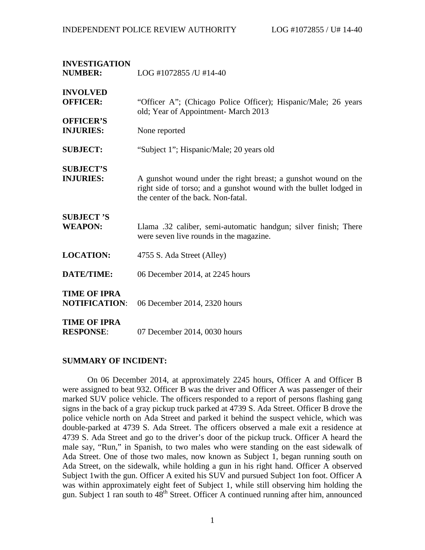| <b>INVESTIGATION</b><br><b>NUMBER:</b>                 | LOG #1072855 /U #14-40                                                                                                                                                     |  |
|--------------------------------------------------------|----------------------------------------------------------------------------------------------------------------------------------------------------------------------------|--|
| <b>INVOLVED</b><br><b>OFFICER:</b><br><b>OFFICER'S</b> | "Officer A"; (Chicago Police Officer); Hispanic/Male; 26 years<br>old; Year of Appointment- March 2013                                                                     |  |
| <b>INJURIES:</b>                                       | None reported                                                                                                                                                              |  |
| <b>SUBJECT:</b>                                        | "Subject 1"; Hispanic/Male; 20 years old                                                                                                                                   |  |
| <b>SUBJECT'S</b><br><b>INJURIES:</b>                   | A gunshot wound under the right breast; a gunshot wound on the<br>right side of torso; and a gunshot wound with the bullet lodged in<br>the center of the back. Non-fatal. |  |
| <b>SUBJECT'S</b><br><b>WEAPON:</b>                     | Llama .32 caliber, semi-automatic handgun; silver finish; There<br>were seven live rounds in the magazine.                                                                 |  |
| <b>LOCATION:</b>                                       | 4755 S. Ada Street (Alley)                                                                                                                                                 |  |
| <b>DATE/TIME:</b>                                      | 06 December 2014, at 2245 hours                                                                                                                                            |  |
| <b>TIME OF IPRA</b><br><b>NOTIFICATION:</b>            | 06 December 2014, 2320 hours                                                                                                                                               |  |
| <b>TIME OF IPRA</b><br><b>RESPONSE:</b>                | 07 December 2014, 0030 hours                                                                                                                                               |  |

### **SUMMARY OF INCIDENT:**

On 06 December 2014, at approximately 2245 hours, Officer A and Officer B were assigned to beat 932. Officer B was the driver and Officer A was passenger of their marked SUV police vehicle. The officers responded to a report of persons flashing gang signs in the back of a gray pickup truck parked at 4739 S. Ada Street. Officer B drove the police vehicle north on Ada Street and parked it behind the suspect vehicle, which was double-parked at 4739 S. Ada Street. The officers observed a male exit a residence at 4739 S. Ada Street and go to the driver's door of the pickup truck. Officer A heard the male say, "Run," in Spanish, to two males who were standing on the east sidewalk of Ada Street. One of those two males, now known as Subject 1, began running south on Ada Street, on the sidewalk, while holding a gun in his right hand. Officer A observed Subject 1with the gun. Officer A exited his SUV and pursued Subject 1on foot. Officer A was within approximately eight feet of Subject 1, while still observing him holding the gun. Subject 1 ran south to  $48<sup>th</sup>$  Street. Officer A continued running after him, announced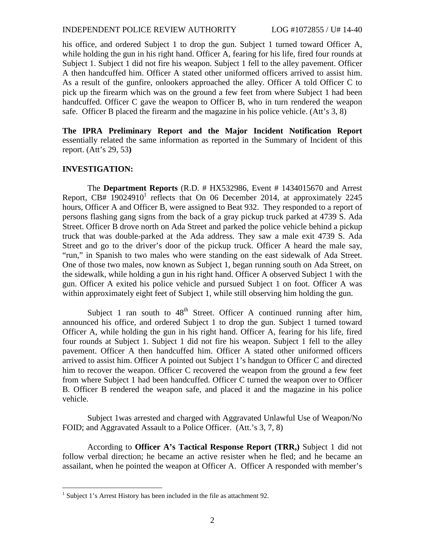#### INDEPENDENT POLICE REVIEW AUTHORITY LOG #1072855 / U# 14-40

his office, and ordered Subject 1 to drop the gun. Subject 1 turned toward Officer A, while holding the gun in his right hand. Officer A, fearing for his life, fired four rounds at Subject 1. Subject 1 did not fire his weapon. Subject 1 fell to the alley pavement. Officer A then handcuffed him. Officer A stated other uniformed officers arrived to assist him. As a result of the gunfire, onlookers approached the alley. Officer A told Officer C to pick up the firearm which was on the ground a few feet from where Subject 1 had been handcuffed. Officer C gave the weapon to Officer B, who in turn rendered the weapon safe. Officer B placed the firearm and the magazine in his police vehicle. (Att's 3, 8)

**The IPRA Preliminary Report and the Major Incident Notification Report** essentially related the same information as reported in the Summary of Incident of this report. (Att's 29, 53**)**

## **INVESTIGATION:**

The **Department Reports** (R.D. # HX532986, Event # 1434015670 and Arrest Report, CB#  $19024910<sup>1</sup>$  reflects that On 06 December 2014, at approximately 2245 hours, Officer A and Officer B, were assigned to Beat 932. They responded to a report of persons flashing gang signs from the back of a gray pickup truck parked at 4739 S. Ada Street. Officer B drove north on Ada Street and parked the police vehicle behind a pickup truck that was double-parked at the Ada address. They saw a male exit 4739 S. Ada Street and go to the driver's door of the pickup truck. Officer A heard the male say, "run," in Spanish to two males who were standing on the east sidewalk of Ada Street. One of those two males, now known as Subject 1, began running south on Ada Street, on the sidewalk, while holding a gun in his right hand. Officer A observed Subject 1 with the gun. Officer A exited his police vehicle and pursued Subject 1 on foot. Officer A was within approximately eight feet of Subject 1, while still observing him holding the gun.

Subject 1 ran south to  $48<sup>th</sup>$  Street. Officer A continued running after him, announced his office, and ordered Subject 1 to drop the gun. Subject 1 turned toward Officer A, while holding the gun in his right hand. Officer A, fearing for his life, fired four rounds at Subject 1. Subject 1 did not fire his weapon. Subject 1 fell to the alley pavement. Officer A then handcuffed him. Officer A stated other uniformed officers arrived to assist him. Officer A pointed out Subject 1's handgun to Officer C and directed him to recover the weapon. Officer C recovered the weapon from the ground a few feet from where Subject 1 had been handcuffed. Officer C turned the weapon over to Officer B. Officer B rendered the weapon safe, and placed it and the magazine in his police vehicle.

Subject 1was arrested and charged with Aggravated Unlawful Use of Weapon/No FOID; and Aggravated Assault to a Police Officer. (Att.'s 3, 7, 8)

According to **Officer A's Tactical Response Report (TRR,)** Subject 1 did not follow verbal direction; he became an active resister when he fled; and he became an assailant, when he pointed the weapon at Officer A. Officer A responded with member's

<sup>&</sup>lt;sup>1</sup> Subject 1's Arrest History has been included in the file as attachment 92.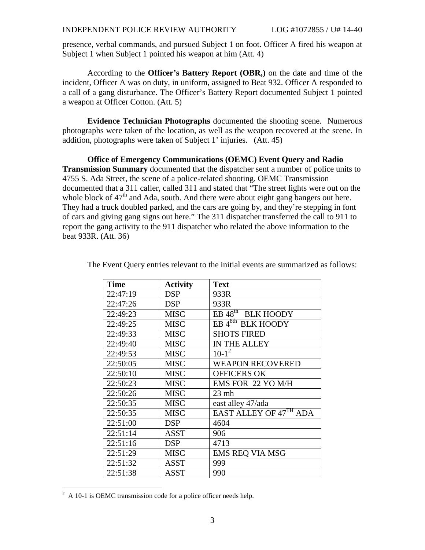presence, verbal commands, and pursued Subject 1 on foot. Officer A fired his weapon at Subject 1 when Subject 1 pointed his weapon at him (Att. 4)

According to the **Officer's Battery Report (OBR,)** on the date and time of the incident, Officer A was on duty, in uniform, assigned to Beat 932. Officer A responded to a call of a gang disturbance. The Officer's Battery Report documented Subject 1 pointed a weapon at Officer Cotton. (Att. 5)

**Evidence Technician Photographs** documented the shooting scene. Numerous photographs were taken of the location, as well as the weapon recovered at the scene. In addition, photographs were taken of Subject 1' injuries. (Att. 45)

**Office of Emergency Communications (OEMC) Event Query and Radio Transmission Summary** documented that the dispatcher sent a number of police units to 4755 S. Ada Street, the scene of a police-related shooting. OEMC Transmission documented that a 311 caller, called 311 and stated that "The street lights were out on the whole block of  $47<sup>th</sup>$  and Ada, south. And there were about eight gang bangers out here. They had a truck doubled parked, and the cars are going by, and they're stepping in font of cars and giving gang signs out here." The 311 dispatcher transferred the call to 911 to report the gang activity to the 911 dispatcher who related the above information to the beat 933R. (Att. 36)

| <b>Time</b> | <b>Activity</b> | <b>Text</b>                   |
|-------------|-----------------|-------------------------------|
| 22:47:19    | <b>DSP</b>      | 933R                          |
| 22:47:26    | <b>DSP</b>      | 933R                          |
| 22:49:23    | <b>MISC</b>     | EB 48 <sup>th</sup> BLK HOODY |
| 22:49:25    | <b>MISC</b>     | EB <sup>48th</sup> BLK HOODY  |
| 22:49:33    | <b>MISC</b>     | <b>SHOTS FIRED</b>            |
| 22:49:40    | <b>MISC</b>     | IN THE ALLEY                  |
| 22:49:53    | <b>MISC</b>     | $10-1^2$                      |
| 22:50:05    | <b>MISC</b>     | <b>WEAPON RECOVERED</b>       |
| 22:50:10    | <b>MISC</b>     | <b>OFFICERS OK</b>            |
| 22:50:23    | <b>MISC</b>     | EMS FOR 22 YO M/H             |
| 22:50:26    | <b>MISC</b>     | $23$ mh                       |
| 22:50:35    | <b>MISC</b>     | east alley 47/ada             |
| 22:50:35    | <b>MISC</b>     | EAST ALLEY OF 47TH ADA        |
| 22:51:00    | <b>DSP</b>      | 4604                          |
| 22:51:14    | ASST            | 906                           |
| 22:51:16    | <b>DSP</b>      | 4713                          |
| 22:51:29    | <b>MISC</b>     | <b>EMS REQ VIA MSG</b>        |
| 22:51:32    | ASST            | 999                           |
| 22:51:38    | ASST            | 990                           |

The Event Query entries relevant to the initial events are summarized as follows:

 $^{2}$  A 10-1 is OEMC transmission code for a police officer needs help.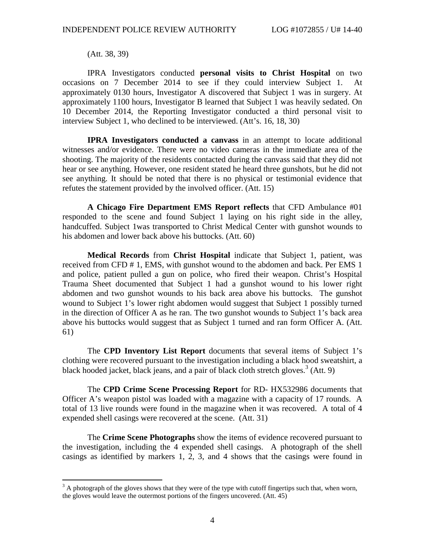(Att. 38, 39)

IPRA Investigators conducted **personal visits to Christ Hospital** on two occasions on 7 December 2014 to see if they could interview Subject 1. At approximately 0130 hours, Investigator A discovered that Subject 1 was in surgery. At approximately 1100 hours, Investigator B learned that Subject 1 was heavily sedated. On 10 December 2014, the Reporting Investigator conducted a third personal visit to interview Subject 1, who declined to be interviewed. (Att's. 16, 18, 30)

**IPRA Investigators conducted a canvass** in an attempt to locate additional witnesses and/or evidence. There were no video cameras in the immediate area of the shooting. The majority of the residents contacted during the canvass said that they did not hear or see anything. However, one resident stated he heard three gunshots, but he did not see anything. It should be noted that there is no physical or testimonial evidence that refutes the statement provided by the involved officer. (Att. 15)

**A Chicago Fire Department EMS Report reflects** that CFD Ambulance #01 responded to the scene and found Subject 1 laying on his right side in the alley, handcuffed. Subject 1was transported to Christ Medical Center with gunshot wounds to his abdomen and lower back above his buttocks. (Att. 60)

**Medical Records** from **Christ Hospital** indicate that Subject 1, patient, was received from CFD # 1, EMS, with gunshot wound to the abdomen and back. Per EMS 1 and police, patient pulled a gun on police, who fired their weapon. Christ's Hospital Trauma Sheet documented that Subject 1 had a gunshot wound to his lower right abdomen and two gunshot wounds to his back area above his buttocks. The gunshot wound to Subject 1's lower right abdomen would suggest that Subject 1 possibly turned in the direction of Officer A as he ran. The two gunshot wounds to Subject 1's back area above his buttocks would suggest that as Subject 1 turned and ran form Officer A. (Att. 61)

The **CPD Inventory List Report** documents that several items of Subject 1's clothing were recovered pursuant to the investigation including a black hood sweatshirt, a black hooded jacket, black jeans, and a pair of black cloth stretch gloves.<sup>3</sup> (Att. 9)

The **CPD Crime Scene Processing Report** for RD- HX532986 documents that Officer A's weapon pistol was loaded with a magazine with a capacity of 17 rounds. A total of 13 live rounds were found in the magazine when it was recovered. A total of 4 expended shell casings were recovered at the scene. (Att. 31)

The **Crime Scene Photographs** show the items of evidence recovered pursuant to the investigation, including the 4 expended shell casings. A photograph of the shell casings as identified by markers 1, 2, 3, and 4 shows that the casings were found in

 $3<sup>3</sup>$  A photograph of the gloves shows that they were of the type with cutoff fingertips such that, when worn, the gloves would leave the outermost portions of the fingers uncovered. (Att. 45)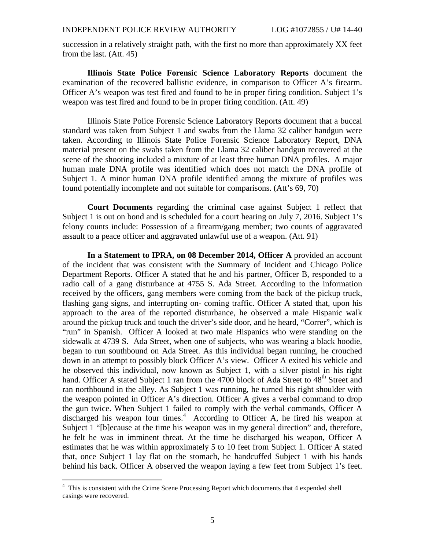succession in a relatively straight path, with the first no more than approximately XX feet from the last. (Att. 45)

**Illinois State Police Forensic Science Laboratory Reports** document the examination of the recovered ballistic evidence, in comparison to Officer A's firearm. Officer A's weapon was test fired and found to be in proper firing condition. Subject 1's weapon was test fired and found to be in proper firing condition. (Att. 49)

Illinois State Police Forensic Science Laboratory Reports document that a buccal standard was taken from Subject 1 and swabs from the Llama 32 caliber handgun were taken. According to Illinois State Police Forensic Science Laboratory Report, DNA material present on the swabs taken from the Llama 32 caliber handgun recovered at the scene of the shooting included a mixture of at least three human DNA profiles. A major human male DNA profile was identified which does not match the DNA profile of Subject 1. A minor human DNA profile identified among the mixture of profiles was found potentially incomplete and not suitable for comparisons. (Att's 69, 70)

**Court Documents** regarding the criminal case against Subject 1 reflect that Subject 1 is out on bond and is scheduled for a court hearing on July 7, 2016. Subject 1's felony counts include: Possession of a firearm/gang member; two counts of aggravated assault to a peace officer and aggravated unlawful use of a weapon. (Att. 91)

**In a Statement to IPRA, on 08 December 2014, Officer A** provided an account of the incident that was consistent with the Summary of Incident and Chicago Police Department Reports. Officer A stated that he and his partner, Officer B, responded to a radio call of a gang disturbance at 4755 S. Ada Street. According to the information received by the officers, gang members were coming from the back of the pickup truck, flashing gang signs, and interrupting on- coming traffic. Officer A stated that, upon his approach to the area of the reported disturbance, he observed a male Hispanic walk around the pickup truck and touch the driver's side door, and he heard, "Correr", which is "run" in Spanish. Officer A looked at two male Hispanics who were standing on the sidewalk at 4739 S. Ada Street, when one of subjects, who was wearing a black hoodie, began to run southbound on Ada Street. As this individual began running, he crouched down in an attempt to possibly block Officer A's view. Officer A exited his vehicle and he observed this individual, now known as Subject 1, with a silver pistol in his right hand. Officer A stated Subject 1 ran from the 4700 block of Ada Street to 48<sup>th</sup> Street and ran northbound in the alley. As Subject 1 was running, he turned his right shoulder with the weapon pointed in Officer A's direction. Officer A gives a verbal command to drop the gun twice. When Subject 1 failed to comply with the verbal commands, Officer A discharged his weapon four times.<sup>4</sup> According to Officer A, he fired his weapon at Subject 1 "[b]ecause at the time his weapon was in my general direction" and, therefore, he felt he was in imminent threat. At the time he discharged his weapon, Officer A estimates that he was within approximately 5 to 10 feet from Subject 1. Officer A stated that, once Subject 1 lay flat on the stomach, he handcuffed Subject 1 with his hands behind his back. Officer A observed the weapon laying a few feet from Subject 1's feet.

<sup>&</sup>lt;sup>4</sup> This is consistent with the Crime Scene Processing Report which documents that 4 expended shell casings were recovered.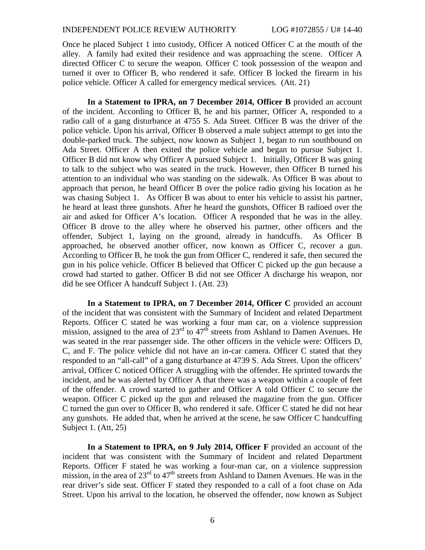#### INDEPENDENT POLICE REVIEW AUTHORITY LOG #1072855 / U# 14-40

Once he placed Subject 1 into custody, Officer A noticed Officer C at the mouth of the alley. A family had exited their residence and was approaching the scene. Officer A directed Officer C to secure the weapon. Officer C took possession of the weapon and turned it over to Officer B, who rendered it safe. Officer B locked the firearm in his police vehicle. Officer A called for emergency medical services. (Att. 21)

**In a Statement to IPRA, on 7 December 2014, Officer B** provided an account of the incident. According to Officer B, he and his partner, Officer A, responded to a radio call of a gang disturbance at 4755 S. Ada Street. Officer B was the driver of the police vehicle. Upon his arrival, Officer B observed a male subject attempt to get into the double-parked truck. The subject, now known as Subject 1, began to run southbound on Ada Street. Officer A then exited the police vehicle and began to pursue Subject 1. Officer B did not know why Officer A pursued Subject 1. Initially, Officer B was going to talk to the subject who was seated in the truck. However, then Officer B turned his attention to an individual who was standing on the sidewalk. As Officer B was about to approach that person, he heard Officer B over the police radio giving his location as he was chasing Subject 1. As Officer B was about to enter his vehicle to assist his partner, he heard at least three gunshots. After he heard the gunshots, Officer B radioed over the air and asked for Officer A's location. Officer A responded that he was in the alley. Officer B drove to the alley where he observed his partner, other officers and the offender, Subject 1, laying on the ground, already in handcuffs. As Officer B approached, he observed another officer, now known as Officer C, recover a gun. According to Officer B, he took the gun from Officer C, rendered it safe, then secured the gun in his police vehicle. Officer B believed that Officer C picked up the gun because a crowd had started to gather. Officer B did not see Officer A discharge his weapon, nor did he see Officer A handcuff Subject 1. (Att. 23)

**In a Statement to IPRA, on 7 December 2014, Officer C** provided an account of the incident that was consistent with the Summary of Incident and related Department Reports. Officer C stated he was working a four man car, on a violence suppression mission, assigned to the area of  $23<sup>rd</sup>$  to  $47<sup>th</sup>$  streets from Ashland to Damen Avenues. He was seated in the rear passenger side. The other officers in the vehicle were: Officers D, C, and F. The police vehicle did not have an in-car camera. Officer C stated that they responded to an "all-call" of a gang disturbance at 4739 S. Ada Street. Upon the officers' arrival, Officer C noticed Officer A struggling with the offender. He sprinted towards the incident, and he was alerted by Officer A that there was a weapon within a couple of feet of the offender. A crowd started to gather and Officer A told Officer C to secure the weapon. Officer C picked up the gun and released the magazine from the gun. Officer C turned the gun over to Officer B, who rendered it safe. Officer C stated he did not hear any gunshots. He added that, when he arrived at the scene, he saw Officer C handcuffing Subject 1. (Att, 25)

**In a Statement to IPRA, on 9 July 2014, Officer F** provided an account of the incident that was consistent with the Summary of Incident and related Department Reports. Officer F stated he was working a four-man car, on a violence suppression mission, in the area of  $23<sup>rd</sup>$  to  $47<sup>th</sup>$  streets from Ashland to Damen Avenues. He was in the rear driver's side seat. Officer F stated they responded to a call of a foot chase on Ada Street. Upon his arrival to the location, he observed the offender, now known as Subject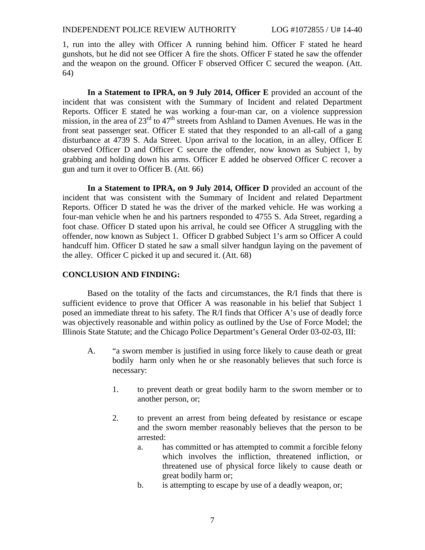1, run into the alley with Officer A running behind him. Officer F stated he heard gunshots, but he did not see Officer A fire the shots. Officer F stated he saw the offender and the weapon on the ground. Officer F observed Officer C secured the weapon. (Att. 64)

**In a Statement to IPRA, on 9 July 2014, Officer E** provided an account of the incident that was consistent with the Summary of Incident and related Department Reports. Officer E stated he was working a four-man car, on a violence suppression mission, in the area of  $23<sup>rd</sup>$  to  $47<sup>th</sup>$  streets from Ashland to Damen Avenues. He was in the front seat passenger seat. Officer E stated that they responded to an all-call of a gang disturbance at 4739 S. Ada Street. Upon arrival to the location, in an alley, Officer E observed Officer D and Officer C secure the offender, now known as Subject 1, by grabbing and holding down his arms. Officer E added he observed Officer C recover a gun and turn it over to Officer B. (Att. 66)

**In a Statement to IPRA, on 9 July 2014, Officer D** provided an account of the incident that was consistent with the Summary of Incident and related Department Reports. Officer D stated he was the driver of the marked vehicle. He was working a four-man vehicle when he and his partners responded to 4755 S. Ada Street, regarding a foot chase. Officer D stated upon his arrival, he could see Officer A struggling with the offender, now known as Subject 1. Officer D grabbed Subject 1's arm so Officer A could handcuff him. Officer D stated he saw a small silver handgun laying on the pavement of the alley. Officer C picked it up and secured it. (Att. 68)

# **CONCLUSION AND FINDING:**

Based on the totality of the facts and circumstances, the R/I finds that there is sufficient evidence to prove that Officer A was reasonable in his belief that Subject 1 posed an immediate threat to his safety. The R/I finds that Officer A's use of deadly force was objectively reasonable and within policy as outlined by the Use of Force Model; the Illinois State Statute; and the Chicago Police Department's General Order 03-02-03, III:

- A. "a sworn member is justified in using force likely to cause death or great bodily harm only when he or she reasonably believes that such force is necessary:
	- 1. to prevent death or great bodily harm to the sworn member or to another person, or;
	- 2. to prevent an arrest from being defeated by resistance or escape and the sworn member reasonably believes that the person to be arrested:
		- a. has committed or has attempted to commit a forcible felony which involves the infliction, threatened infliction, or threatened use of physical force likely to cause death or great bodily harm or;
		- b. is attempting to escape by use of a deadly weapon, or;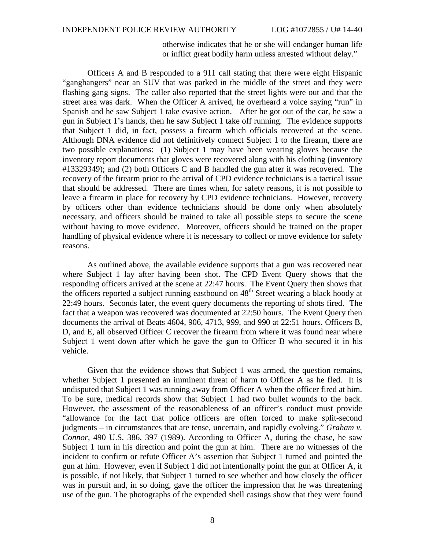otherwise indicates that he or she will endanger human life or inflict great bodily harm unless arrested without delay."

Officers A and B responded to a 911 call stating that there were eight Hispanic "gangbangers" near an SUV that was parked in the middle of the street and they were flashing gang signs. The caller also reported that the street lights were out and that the street area was dark. When the Officer A arrived, he overheard a voice saying "run" in Spanish and he saw Subject 1 take evasive action. After he got out of the car, he saw a gun in Subject 1's hands, then he saw Subject 1 take off running. The evidence supports that Subject 1 did, in fact, possess a firearm which officials recovered at the scene. Although DNA evidence did not definitively connect Subject 1 to the firearm, there are two possible explanations: (1) Subject 1 may have been wearing gloves because the inventory report documents that gloves were recovered along with his clothing (inventory #13329349); and (2) both Officers C and B handled the gun after it was recovered. The recovery of the firearm prior to the arrival of CPD evidence technicians is a tactical issue that should be addressed. There are times when, for safety reasons, it is not possible to leave a firearm in place for recovery by CPD evidence technicians. However, recovery by officers other than evidence technicians should be done only when absolutely necessary, and officers should be trained to take all possible steps to secure the scene without having to move evidence. Moreover, officers should be trained on the proper handling of physical evidence where it is necessary to collect or move evidence for safety reasons.

As outlined above, the available evidence supports that a gun was recovered near where Subject 1 lay after having been shot. The CPD Event Query shows that the responding officers arrived at the scene at 22:47 hours. The Event Query then shows that the officers reported a subject running eastbound on 48<sup>th</sup> Street wearing a black hoody at 22:49 hours. Seconds later, the event query documents the reporting of shots fired. The fact that a weapon was recovered was documented at 22:50 hours. The Event Query then documents the arrival of Beats 4604, 906, 4713, 999, and 990 at 22:51 hours. Officers B, D, and E, all observed Officer C recover the firearm from where it was found near where Subject 1 went down after which he gave the gun to Officer B who secured it in his vehicle.

Given that the evidence shows that Subject 1 was armed, the question remains, whether Subject 1 presented an imminent threat of harm to Officer A as he fled. It is undisputed that Subject 1 was running away from Officer A when the officer fired at him. To be sure, medical records show that Subject 1 had two bullet wounds to the back. However, the assessment of the reasonableness of an officer's conduct must provide "allowance for the fact that police officers are often forced to make split-second judgments – in circumstances that are tense, uncertain, and rapidly evolving." *Graham v. Connor*, 490 U.S. 386, 397 (1989). According to Officer A, during the chase, he saw Subject 1 turn in his direction and point the gun at him. There are no witnesses of the incident to confirm or refute Officer A's assertion that Subject 1 turned and pointed the gun at him. However, even if Subject 1 did not intentionally point the gun at Officer A, it is possible, if not likely, that Subject 1 turned to see whether and how closely the officer was in pursuit and, in so doing, gave the officer the impression that he was threatening use of the gun. The photographs of the expended shell casings show that they were found